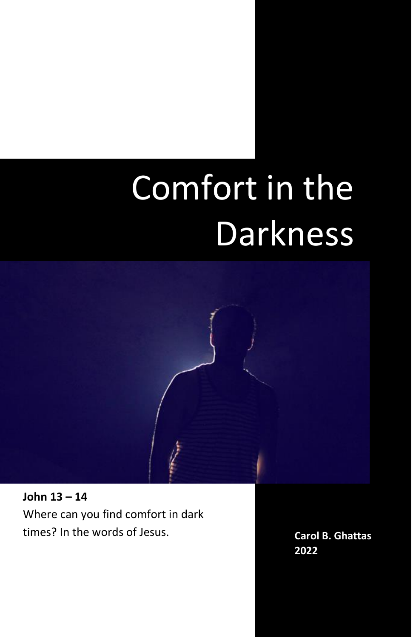# Comfort in the Darkness



**John 13 – 14** Where can you find comfort in dark times? In the words of Jesus. **Carol B. Ghattas**

**2022**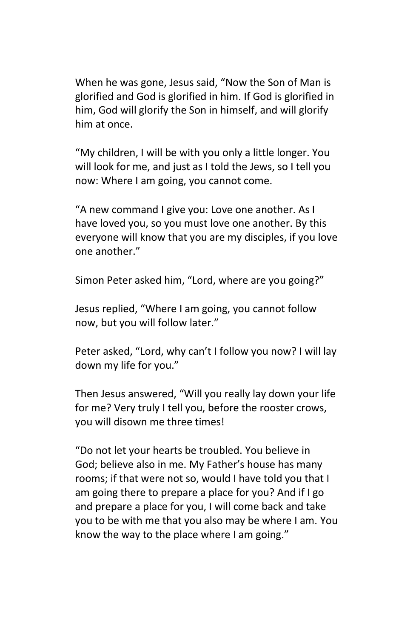When he was gone, Jesus said, "Now the Son of Man is glorified and God is glorified in him. If God is glorified in him, God will glorify the Son in himself, and will glorify him at once.

"My children, I will be with you only a little longer. You will look for me, and just as I told the Jews, so I tell you now: Where I am going, you cannot come.

"A new command I give you: Love one another. As I have loved you, so you must love one another. By this everyone will know that you are my disciples, if you love one another."

Simon Peter asked him, "Lord, where are you going?"

Jesus replied, "Where I am going, you cannot follow now, but you will follow later."

Peter asked, "Lord, why can't I follow you now? I will lay down my life for you."

Then Jesus answered, "Will you really lay down your life for me? Very truly I tell you, before the rooster crows, you will disown me three times!

"Do not let your hearts be troubled. You believe in God; believe also in me. My Father's house has many rooms; if that were not so, would I have told you that I am going there to prepare a place for you? And if I go and prepare a place for you, I will come back and take you to be with me that you also may be where I am. You know the way to the place where I am going."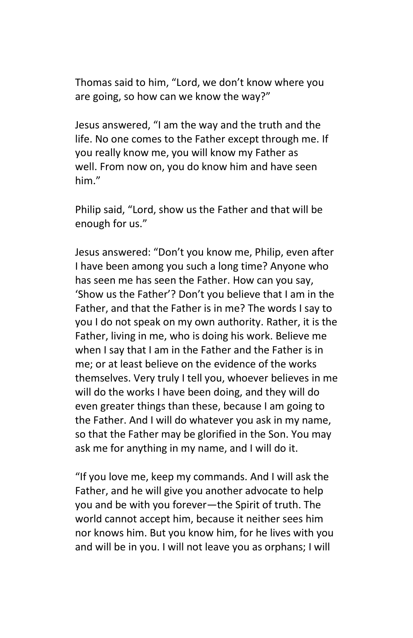Thomas said to him, "Lord, we don't know where you are going, so how can we know the way?"

Jesus answered, "I am the way and the truth and the life. No one comes to the Father except through me. If you really know me, you will know my Father as well. From now on, you do know him and have seen him."

Philip said, "Lord, show us the Father and that will be enough for us."

Jesus answered: "Don't you know me, Philip, even after I have been among you such a long time? Anyone who has seen me has seen the Father. How can you say, 'Show us the Father'? Don't you believe that I am in the Father, and that the Father is in me? The words I say to you I do not speak on my own authority. Rather, it is the Father, living in me, who is doing his work. Believe me when I say that I am in the Father and the Father is in me; or at least believe on the evidence of the works themselves. Very truly I tell you, whoever believes in me will do the works I have been doing, and they will do even greater things than these, because I am going to the Father. And I will do whatever you ask in my name, so that the Father may be glorified in the Son. You may ask me for anything in my name, and I will do it.

"If you love me, keep my commands. And I will ask the Father, and he will give you another advocate to help you and be with you forever—the Spirit of truth. The world cannot accept him, because it neither sees him nor knows him. But you know him, for he lives with you and will be in you. I will not leave you as orphans; I will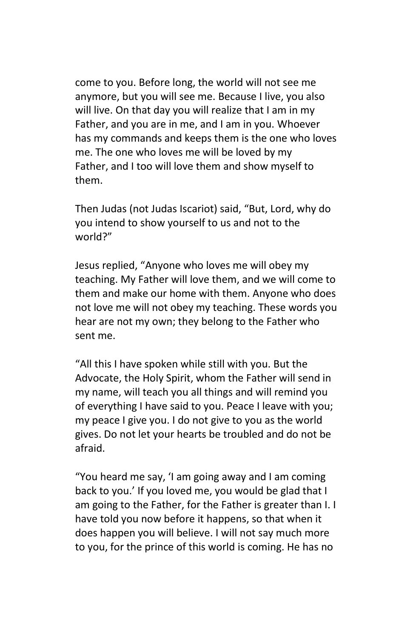come to you. Before long, the world will not see me anymore, but you will see me. Because I live, you also will live. On that day you will realize that I am in my Father, and you are in me, and I am in you. Whoever has my commands and keeps them is the one who loves me. The one who loves me will be loved by my Father, and I too will love them and show myself to them.

Then Judas (not Judas Iscariot) said, "But, Lord, why do you intend to show yourself to us and not to the world?"

Jesus replied, "Anyone who loves me will obey my teaching. My Father will love them, and we will come to them and make our home with them. Anyone who does not love me will not obey my teaching. These words you hear are not my own; they belong to the Father who sent me.

"All this I have spoken while still with you. But the Advocate, the Holy Spirit, whom the Father will send in my name, will teach you all things and will remind you of everything I have said to you. Peace I leave with you; my peace I give you. I do not give to you as the world gives. Do not let your hearts be troubled and do not be afraid.

"You heard me say, 'I am going away and I am coming back to you.' If you loved me, you would be glad that I am going to the Father, for the Father is greater than I. I have told you now before it happens, so that when it does happen you will believe. I will not say much more to you, for the prince of this world is coming. He has no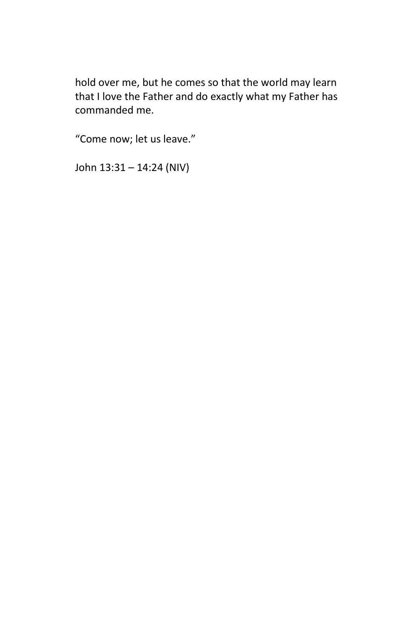hold over me, but he comes so that the world may learn that I love the Father and do exactly what my Father has commanded me.

"Come now; let us leave."

John 13:31 – 14:24 (NIV)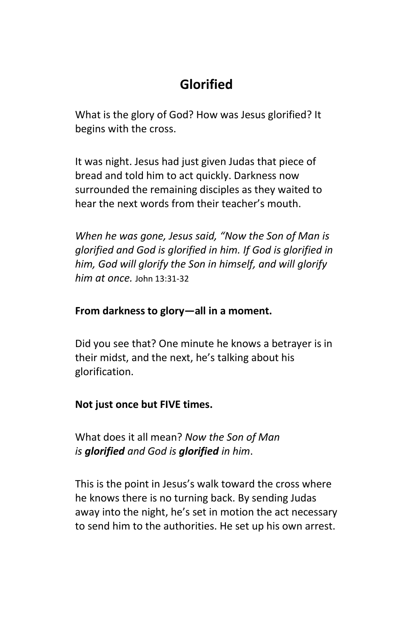# **[Glorified](https://lifeinexile.net/2020/09/11/glorified/)**

What is the glory of God? How was Jesus glorified? It begins with the cross.

It was night. Jesus had just given Judas that piece of bread and told him to act quickly. Darkness now surrounded the remaining disciples as they waited to hear the next words from their teacher's mouth.

*When he was gone, Jesus said, "Now the Son of Man is glorified and God is glorified in him. If God is glorified in him, God will glorify the Son in himself, and will glorify him at once.* John 13:31-32

#### **From darkness to glory—all in a moment.**

Did you see that? One minute he knows a betrayer is in their midst, and the next, he's talking about his glorification.

#### **Not just once but FIVE times.**

What does it all mean? *Now the Son of Man is glorified and God is glorified in him*.

This is the point in Jesus's walk toward the cross where he knows there is no turning back. By sending Judas away into the night, he's set in motion the act necessary to send him to the authorities. He set up his own arrest.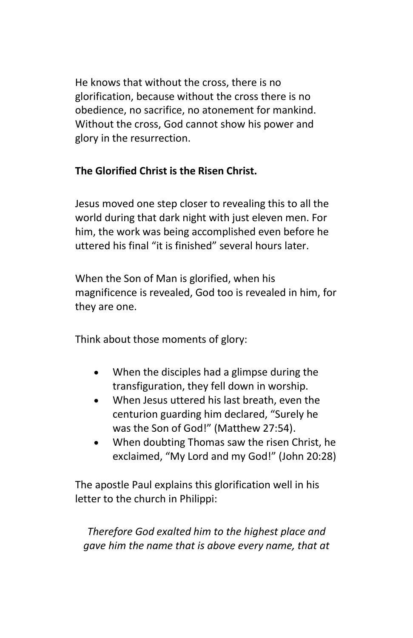He knows that without the cross, there is no glorification, because without the cross there is no obedience, no sacrifice, no atonement for mankind. Without the cross, God cannot show his power and glory in the resurrection.

# **The Glorified Christ is the Risen Christ.**

Jesus moved one step closer to revealing this to all the world during that dark night with just eleven men. For him, the work was being accomplished even before he uttered his final "it is finished" several hours later.

When the Son of Man is glorified, when his magnificence is revealed, God too is revealed in him, for they are one.

Think about those moments of glory:

- When the disciples had a glimpse during the transfiguration, they fell down in worship.
- When Jesus uttered his last breath, even the centurion guarding him declared, "Surely he was the Son of God!" (Matthew 27:54).
- When doubting Thomas saw the risen Christ, he exclaimed, "My Lord and my God!" (John 20:28)

The apostle Paul explains this glorification well in his letter to the church in Philippi:

*Therefore God exalted him to the highest place and gave him the name that is above every name, that at*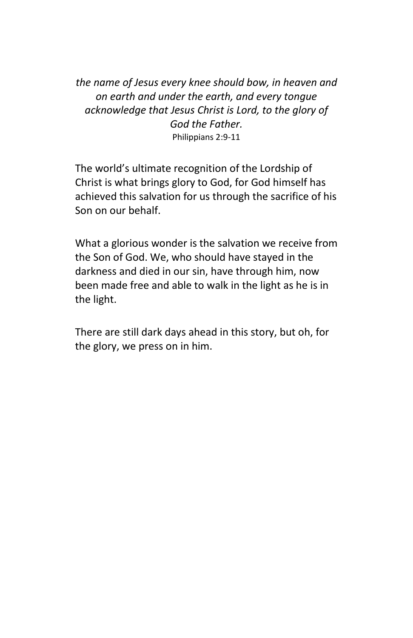*the name of Jesus every knee should bow, in heaven and on earth and under the earth, and every tongue acknowledge that Jesus Christ is Lord, to the glory of God the Father.* Philippians 2:9-11

The world's ultimate recognition of the Lordship of Christ is what brings glory to God, for God himself has achieved this salvation for us through the sacrifice of his Son on our behalf.

What a glorious wonder is the salvation we receive from the Son of God. We, who should have stayed in the darkness and died in our sin, have through him, now been made free and able to walk in the light as he is in the light.

There are still dark days ahead in this story, but oh, for the glory, we press on in him.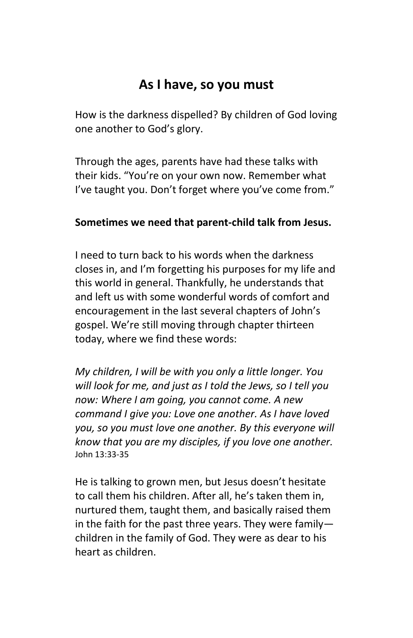# **As I have, so you must**

How is the darkness dispelled? By children of God loving one another to God's glory.

Through the ages, parents have had these talks with their kids. "You're on your own now. Remember what I've taught you. Don't forget where you've come from."

#### **Sometimes we need that parent-child talk from Jesus.**

I need to turn back to his words when the darkness closes in, and I'm forgetting his purposes for my life and this world in general. Thankfully, he understands that and left us with some wonderful words of comfort and encouragement in the last several chapters of John's gospel. We're still moving through chapter thirteen today, where we find these words:

*My children, I will be with you only a little longer. You will look for me, and just as I told the Jews, so I tell you now: Where I am going, you cannot come. A new command I give you: Love one another. As I have loved you, so you must love one another. By this everyone will know that you are my disciples, if you love one another.* John 13:33-35

He is talking to grown men, but Jesus doesn't hesitate to call them his children. After all, he's taken them in, nurtured them, taught them, and basically raised them in the faith for the past three years. They were family children in the family of God. They were as dear to his heart as children.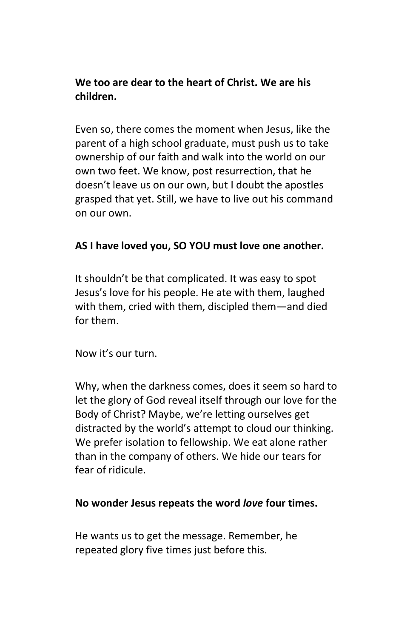## **We too are dear to the heart of Christ. We are his children.**

Even so, there comes the moment when Jesus, like the parent of a high school graduate, must push us to take ownership of our faith and walk into the world on our own two feet. We know, post resurrection, that he doesn't leave us on our own, but I doubt the apostles grasped that yet. Still, we have to live out his command on our own.

#### **AS I have loved you, SO YOU must love one another.**

It shouldn't be that complicated. It was easy to spot Jesus's love for his people. He ate with them, laughed with them, cried with them, discipled them—and died for them.

Now it's our turn.

Why, when the darkness comes, does it seem so hard to let the glory of God reveal itself through our love for the Body of Christ? Maybe, we're letting ourselves get distracted by the world's attempt to cloud our thinking. We prefer isolation to fellowship. We eat alone rather than in the company of others. We hide our tears for fear of ridicule.

#### **No wonder Jesus repeats the word** *love* **four times.**

He wants us to get the message. Remember, he repeated glory five times just before this.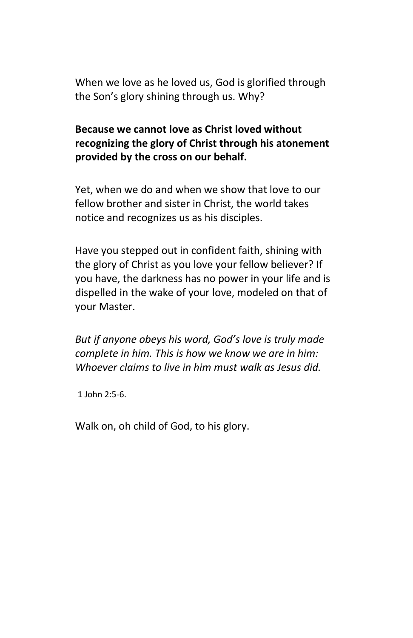When we love as he loved us, God is glorified through the Son's glory shining through us. Why?

# **Because we cannot love as Christ loved without recognizing the glory of Christ through his atonement provided by the cross on our behalf.**

Yet, when we do and when we show that love to our fellow brother and sister in Christ, the world takes notice and recognizes us as his disciples.

Have you stepped out in confident faith, shining with the glory of Christ as you love your fellow believer? If you have, the darkness has no power in your life and is dispelled in the wake of your love, modeled on that of your Master.

*But if anyone obeys his word, God's love is truly made complete in him. This is how we know we are in him: Whoever claims to live in him must walk as Jesus did.*

1 John 2:5-6.

Walk on, oh child of God, to his glory.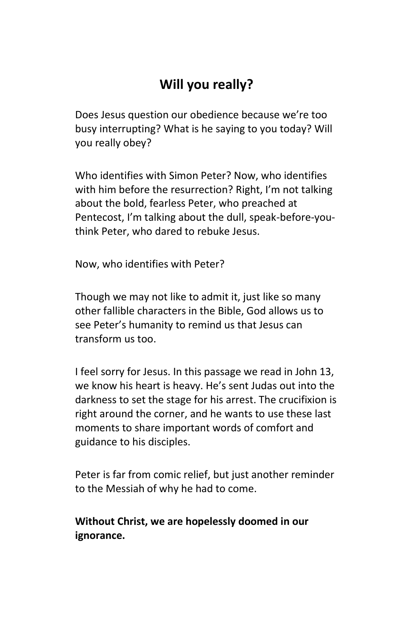# **Will you really?**

Does Jesus question our obedience because we're too busy interrupting? What is he saying to you today? Will you really obey?

Who identifies with Simon Peter? Now, who identifies with him before the resurrection? Right, I'm not talking about the bold, fearless Peter, who preached at Pentecost, I'm talking about the dull, speak-before-youthink Peter, who dared to rebuke Jesus.

Now, who identifies with Peter?

Though we may not like to admit it, just like so many other fallible characters in the Bible, God allows us to see Peter's humanity to remind us that Jesus can transform us too.

I feel sorry for Jesus. In this passage we read in John 13, we know his heart is heavy. He's sent Judas out into the darkness to set the stage for his arrest. The crucifixion is right around the corner, and he wants to use these last moments to share important words of comfort and guidance to his disciples.

Peter is far from comic relief, but just another reminder to the Messiah of why he had to come.

## **Without Christ, we are hopelessly doomed in our ignorance.**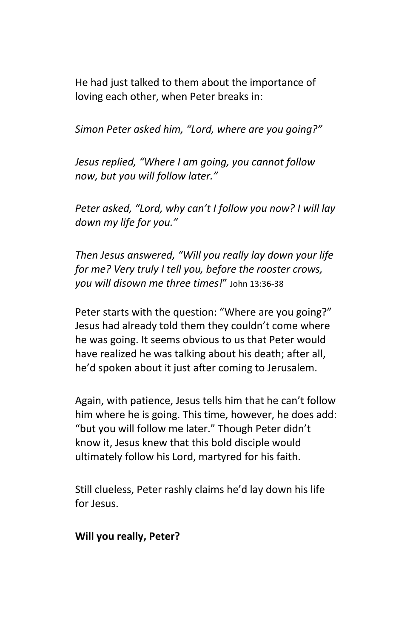He had just talked to them about the importance of loving each other, when Peter breaks in:

*Simon Peter asked him, "Lord, where are you going?"*

*Jesus replied, "Where I am going, you cannot follow now, but you will follow later."*

*Peter asked, "Lord, why can't I follow you now? I will lay down my life for you."*

*Then Jesus answered, "Will you really lay down your life for me? Very truly I tell you, before the rooster crows, you will disown me three times!*" John 13:36-38

Peter starts with the question: "Where are you going?" Jesus had already told them they couldn't come where he was going. It seems obvious to us that Peter would have realized he was talking about his death; after all, he'd spoken about it just after coming to Jerusalem.

Again, with patience, Jesus tells him that he can't follow him where he is going. This time, however, he does add: "but you will follow me later." Though Peter didn't know it, Jesus knew that this bold disciple would ultimately follow his Lord, martyred for his faith.

Still clueless, Peter rashly claims he'd lay down his life for Jesus.

**Will you really, Peter?**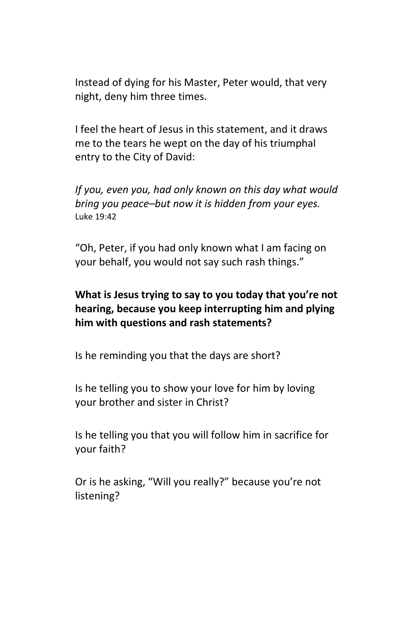Instead of dying for his Master, Peter would, that very night, deny him three times.

I feel the heart of Jesus in this statement, and it draws me to the tears he wept on the day of his triumphal entry to the City of David:

*If you, even you, had only known on this day what would bring you peace–but now it is hidden from your eyes.* Luke 19:42

"Oh, Peter, if you had only known what I am facing on your behalf, you would not say such rash things."

# **What is Jesus trying to say to you today that you're not hearing, because you keep interrupting him and plying him with questions and rash statements?**

Is he reminding you that the days are short?

Is he telling you to show your love for him by loving your brother and sister in Christ?

Is he telling you that you will follow him in sacrifice for your faith?

Or is he asking, "Will you really?" because you're not listening?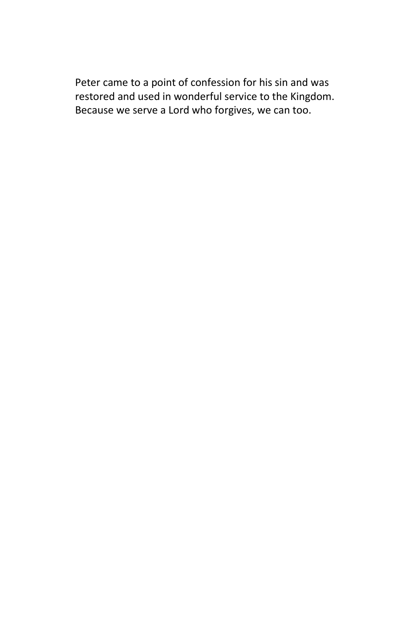Peter came to a point of confession for his sin and was restored and used in wonderful service to the Kingdom. Because we serve a Lord who forgives, we can too.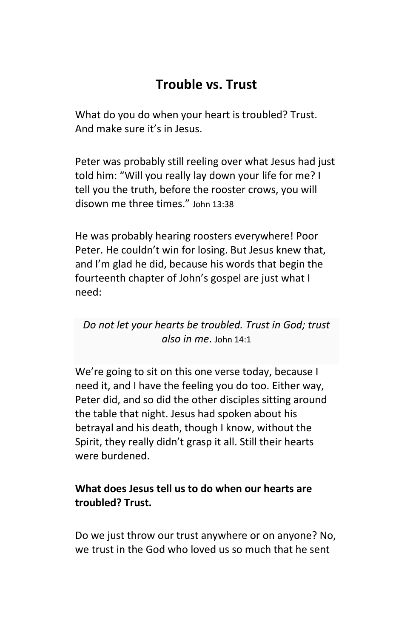# **Trouble vs. Trust**

What do you do when your heart is troubled? Trust. And make sure it's in Jesus.

Peter was probably still reeling over what Jesus had just told him: "Will you really lay down your life for me? I tell you the truth, before the rooster crows, you will disown me three times." John 13:38

He was probably hearing roosters everywhere! Poor Peter. He couldn't win for losing. But Jesus knew that, and I'm glad he did, because his words that begin the fourteenth chapter of John's gospel are just what I need:

*Do not let your hearts be troubled. Trust in God; trust also in me*. John 14:1

We're going to sit on this one verse today, because I need it, and I have the feeling you do too. Either way, Peter did, and so did the other disciples sitting around the table that night. Jesus had spoken about his betrayal and his death, though I know, without the Spirit, they really didn't grasp it all. Still their hearts were burdened.

## **What does Jesus tell us to do when our hearts are troubled? Trust.**

Do we just throw our trust anywhere or on anyone? No, we trust in the God who loved us so much that he sent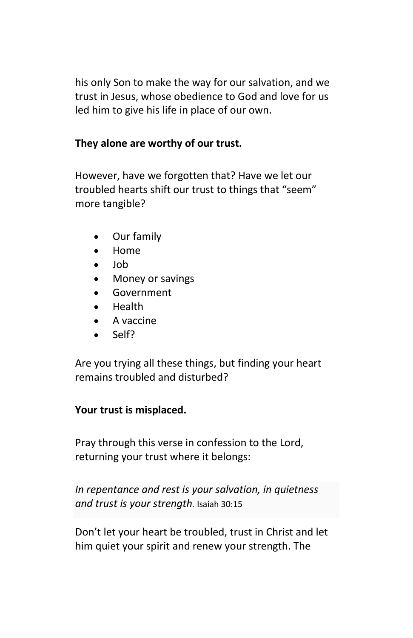his only Son to make the way for our salvation, and we trust in Jesus, whose obedience to God and love for us led him to give his life in place of our own.

#### **They alone are worthy of our trust.**

However, have we forgotten that? Have we let our troubled hearts shift our trust to things that "seem" more tangible?

- Our family
- Home
- Job
- Money or savings
- Government
- Health
- A vaccine
- Self?

Are you trying all these things, but finding your heart remains troubled and disturbed?

## **Your trust is misplaced.**

Pray through this verse in confession to the Lord, returning your trust where it belongs:

*In repentance and rest is your salvation, in quietness and trust is your strength.* Isaiah 30:15

Don't let your heart be troubled, trust in Christ and let him quiet your spirit and renew your strength. The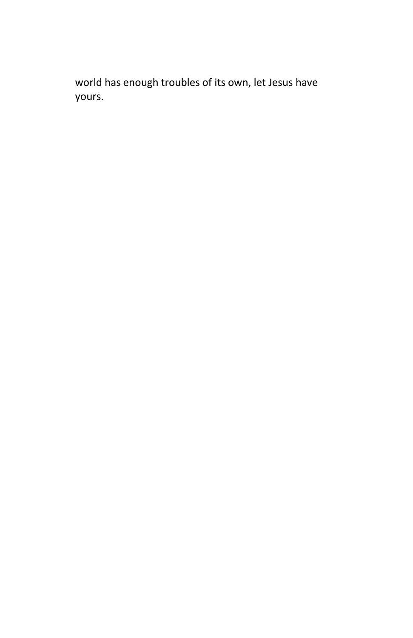world has enough troubles of its own, let Jesus have yours.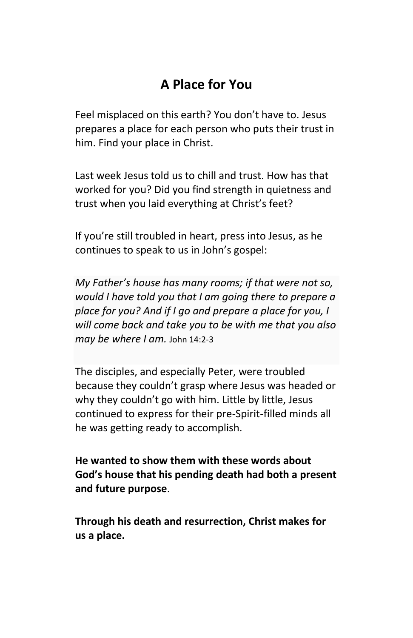# **A Place for You**

Feel misplaced on this earth? You don't have to. Jesus prepares a place for each person who puts their trust in him. Find your place in Christ.

Last week Jesus told us to chill and trust. How has that worked for you? Did you find strength in quietness and trust when you laid everything at Christ's feet?

If you're still troubled in heart, press into Jesus, as he continues to speak to us in John's gospel:

*My Father's house has many rooms; if that were not so, would I have told you that I am going there to prepare a place for you? And if I go and prepare a place for you, I will come back and take you to be with me that you also may be where I am.* John 14:2-3

The disciples, and especially Peter, were troubled because they couldn't grasp where Jesus was headed or why they couldn't go with him. Little by little, Jesus continued to express for their pre-Spirit-filled minds all he was getting ready to accomplish.

**He wanted to show them with these words about God's house that his pending death had both a present and future purpose**.

**Through his death and resurrection, Christ makes for us a place.**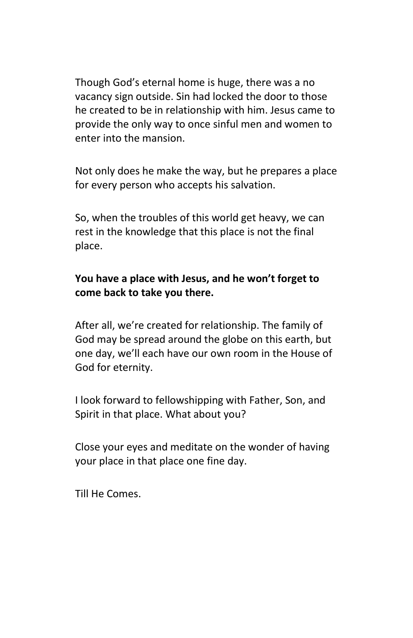Though God's eternal home is huge, there was a no vacancy sign outside. Sin had locked the door to those he created to be in relationship with him. Jesus came to provide the only way to once sinful men and women to enter into the mansion.

Not only does he make the way, but he prepares a place for every person who accepts his salvation.

So, when the troubles of this world get heavy, we can rest in the knowledge that this place is not the final place.

## **You have a place with Jesus, and he won't forget to come back to take you there.**

After all, we're created for relationship. The family of God may be spread around the globe on this earth, but one day, we'll each have our own room in the House of God for eternity.

I look forward to fellowshipping with Father, Son, and Spirit in that place. What about you?

Close your eyes and meditate on the wonder of having your place in that place one fine day.

Till He Comes.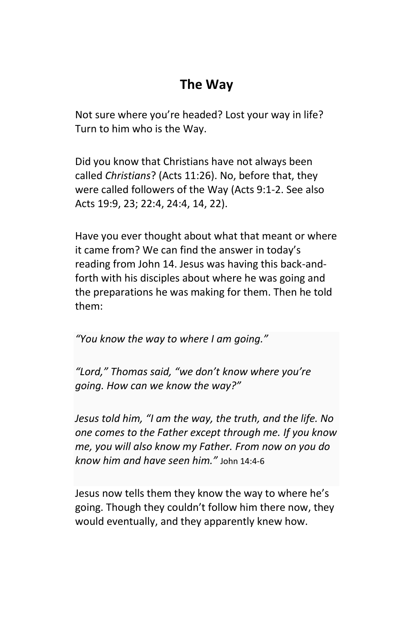# **The Way**

Not sure where you're headed? Lost your way in life? Turn to him who is the Way.

Did you know that Christians have not always been called *Christians*? (Acts 11:26). No, before that, they were called followers of the Way (Acts 9:1-2. See also Acts 19:9, 23; 22:4, 24:4, 14, 22).

Have you ever thought about what that meant or where it came from? We can find the answer in today's reading from John 14. Jesus was having this back-andforth with his disciples about where he was going and the preparations he was making for them. Then he told them:

*"You know the way to where I am going."*

*"Lord," Thomas said, "we don't know where you're going. How can we know the way?"*

*Jesus told him, "I am the way, the truth, and the life. No one comes to the Father except through me. If you know me, you will also know my Father. From now on you do know him and have seen him."* John 14:4-6

Jesus now tells them they know the way to where he's going. Though they couldn't follow him there now, they would eventually, and they apparently knew how.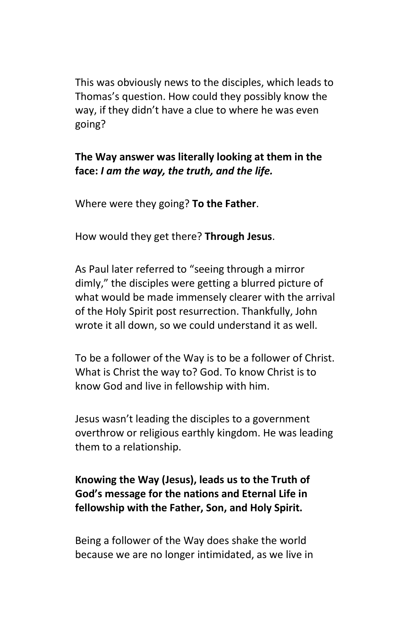This was obviously news to the disciples, which leads to Thomas's question. How could they possibly know the way, if they didn't have a clue to where he was even going?

## **The Way answer was literally looking at them in the face:** *I am the way, the truth, and the life.*

Where were they going? **To the Father**.

How would they get there? **Through Jesus**.

As Paul later referred to "seeing through a mirror dimly," the disciples were getting a blurred picture of what would be made immensely clearer with the arrival of the Holy Spirit post resurrection. Thankfully, John wrote it all down, so we could understand it as well.

To be a follower of the Way is to be a follower of Christ. What is Christ the way to? God. To know Christ is to know God and live in fellowship with him.

Jesus wasn't leading the disciples to a government overthrow or religious earthly kingdom. He was leading them to a relationship.

**Knowing the Way (Jesus), leads us to the Truth of God's message for the nations and Eternal Life in fellowship with the Father, Son, and Holy Spirit.**

Being a follower of the Way does shake the world because we are no longer intimidated, as we live in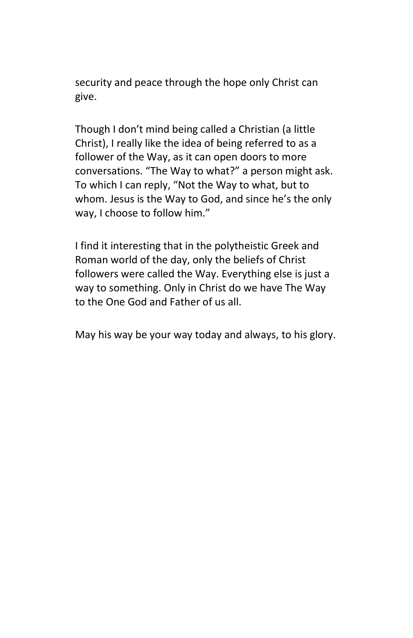security and peace through the hope only Christ can give.

Though I don't mind being called a Christian (a little Christ), I really like the idea of being referred to as a follower of the Way, as it can open doors to more conversations. "The Way to what?" a person might ask. To which I can reply, "Not the Way to what, but to whom. Jesus is the Way to God, and since he's the only way, I choose to follow him."

I find it interesting that in the polytheistic Greek and Roman world of the day, only the beliefs of Christ followers were called the Way. Everything else is just a way to something. Only in Christ do we have The Way to the One God and Father of us all.

May his way be your way today and always, to his glory.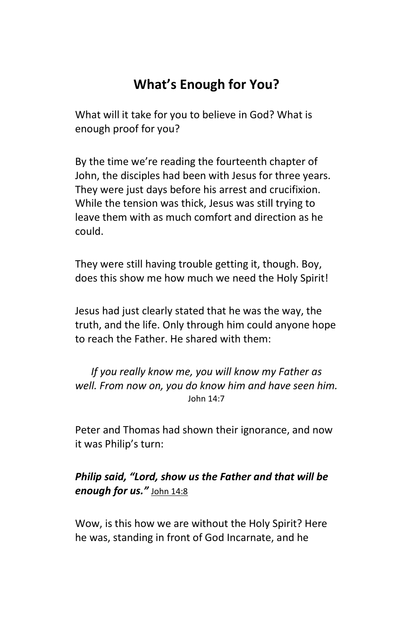# **What's Enough for You?**

What will it take for you to believe in God? What is enough proof for you?

By the time we're reading the fourteenth chapter of John, the disciples had been with Jesus for three years. They were just days before his arrest and crucifixion. While the tension was thick, Jesus was still trying to leave them with as much comfort and direction as he could.

They were still having trouble getting it, though. Boy, does this show me how much we need the Holy Spirit!

Jesus had just clearly stated that he was the way, the truth, and the life. Only through him could anyone hope to reach the Father. He shared with them:

*If you really know me, you will know my Father as well. From now on, you do know him and have seen him.* John 14:7

Peter and Thomas had shown their ignorance, and now it was Philip's turn:

# *Philip said, "Lord, show us the Father and that will be enough for us."* John 14:8

Wow, is this how we are without the Holy Spirit? Here he was, standing in front of God Incarnate, and he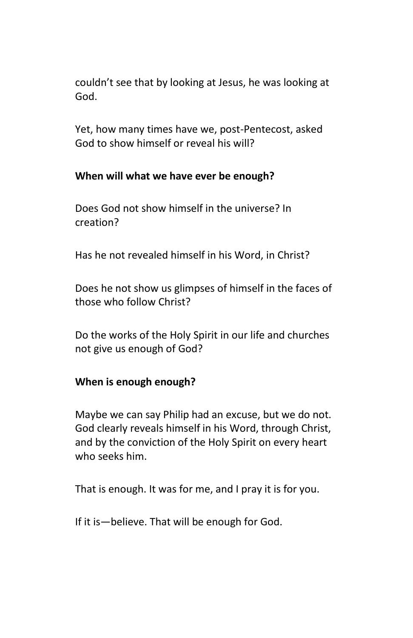couldn't see that by looking at Jesus, he was looking at God.

Yet, how many times have we, post-Pentecost, asked God to show himself or reveal his will?

#### **When will what we have ever be enough?**

Does God not show himself in the universe? In creation?

Has he not revealed himself in his Word, in Christ?

Does he not show us glimpses of himself in the faces of those who follow Christ?

Do the works of the Holy Spirit in our life and churches not give us enough of God?

#### **When is enough enough?**

Maybe we can say Philip had an excuse, but we do not. God clearly reveals himself in his Word, through Christ, and by the conviction of the Holy Spirit on every heart who seeks him.

That is enough. It was for me, and I pray it is for you.

If it is—believe. That will be enough for God.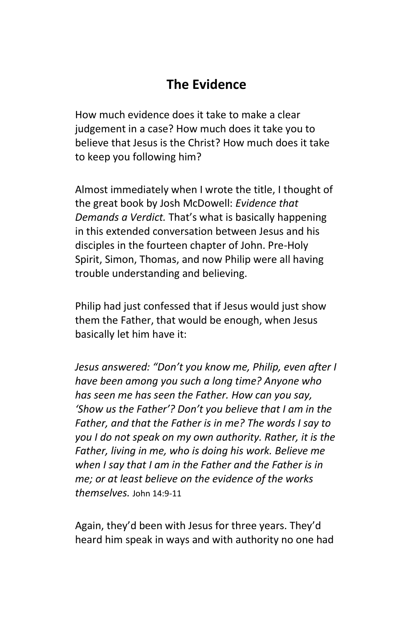# **The Evidence**

How much evidence does it take to make a clear judgement in a case? How much does it take you to believe that Jesus is the Christ? How much does it take to keep you following him?

Almost immediately when I wrote the title, I thought of the great book by Josh McDowell: *Evidence that Demands a Verdict.* That's what is basically happening in this extended conversation between Jesus and his disciples in the fourteen chapter of John. Pre-Holy Spirit, Simon, Thomas, and now Philip were all having trouble understanding and believing.

Philip had just confessed that if Jesus would just show them the Father, that would be enough, when Jesus basically let him have it:

*Jesus answered: "Don't you know me, Philip, even after I have been among you such a long time? Anyone who has seen me has seen the Father. How can you say, 'Show us the Father'? Don't you believe that I am in the Father, and that the Father is in me? The words I say to you I do not speak on my own authority. Rather, it is the Father, living in me, who is doing his work. Believe me when I say that I am in the Father and the Father is in me; or at least believe on the evidence of the works themselves.* John 14:9-11

Again, they'd been with Jesus for three years. They'd heard him speak in ways and with authority no one had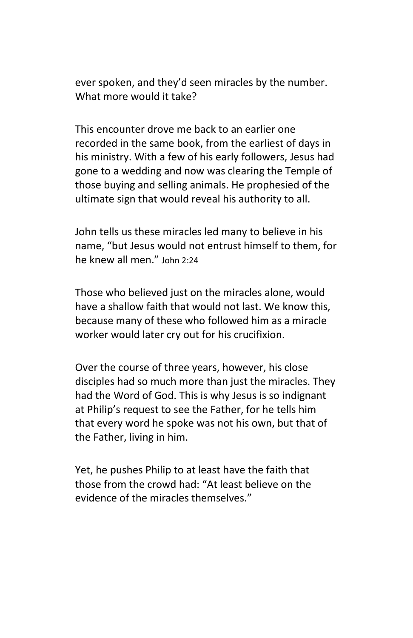ever spoken, and they'd seen miracles by the number. What more would it take?

This encounter drove me back to an earlier one recorded in the same book, from the earliest of days in his ministry. With a few of his early followers, Jesus had gone to a wedding and now was clearing the Temple of those buying and selling animals. He prophesied of the ultimate sign that would reveal his authority to all.

John tells us these miracles led many to believe in his name, "but Jesus would not entrust himself to them, for he knew all men." John 2:24

Those who believed just on the miracles alone, would have a shallow faith that would not last. We know this, because many of these who followed him as a miracle worker would later cry out for his crucifixion.

Over the course of three years, however, his close disciples had so much more than just the miracles. They had the Word of God. This is why Jesus is so indignant at Philip's request to see the Father, for he tells him that every word he spoke was not his own, but that of the Father, living in him.

Yet, he pushes Philip to at least have the faith that those from the crowd had: "At least believe on the evidence of the miracles themselves."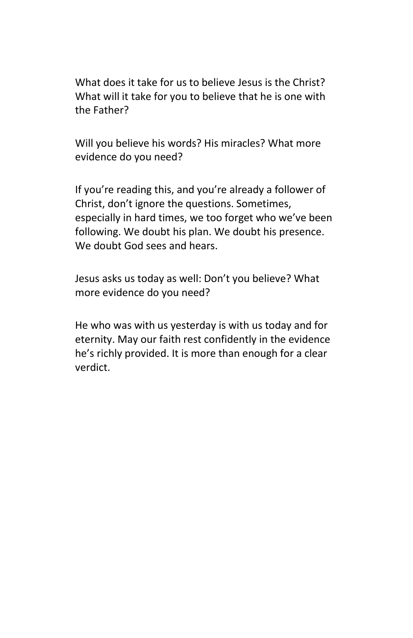What does it take for us to believe Jesus is the Christ? What will it take for you to believe that he is one with the Father?

Will you believe his words? His miracles? What more evidence do you need?

If you're reading this, and you're already a follower of Christ, don't ignore the questions. Sometimes, especially in hard times, we too forget who we've been following. We doubt his plan. We doubt his presence. We doubt God sees and hears.

Jesus asks us today as well: Don't you believe? What more evidence do you need?

He who was with us yesterday is with us today and for eternity. May our faith rest confidently in the evidence he's richly provided. It is more than enough for a clear verdict.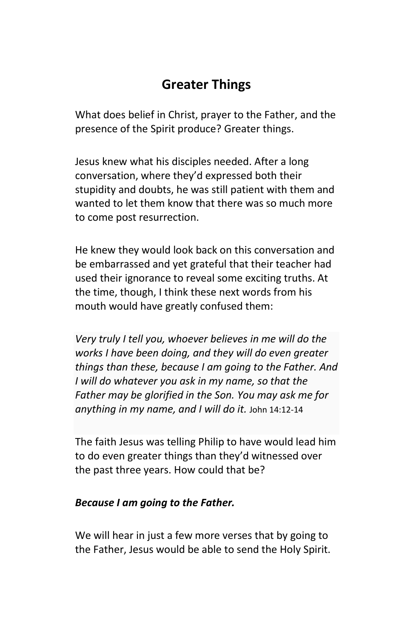# **Greater Things**

What does belief in Christ, prayer to the Father, and the presence of the Spirit produce? Greater things.

Jesus knew what his disciples needed. After a long conversation, where they'd expressed both their stupidity and doubts, he was still patient with them and wanted to let them know that there was so much more to come post resurrection.

He knew they would look back on this conversation and be embarrassed and yet grateful that their teacher had used their ignorance to reveal some exciting truths. At the time, though, I think these next words from his mouth would have greatly confused them:

*Very truly I tell you, whoever believes in me will do the works I have been doing, and they will do even greater things than these, because I am going to the Father. And I will do whatever you ask in my name, so that the Father may be glorified in the Son. You may ask me for anything in my name, and I will do it.* John 14:12-14

The faith Jesus was telling Philip to have would lead him to do even greater things than they'd witnessed over the past three years. How could that be?

#### *Because I am going to the Father.*

We will hear in just a few more verses that by going to the Father, Jesus would be able to send the Holy Spirit.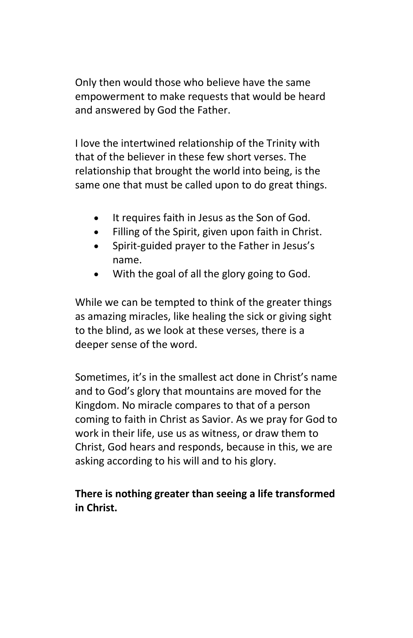Only then would those who believe have the same empowerment to make requests that would be heard and answered by God the Father.

I love the intertwined relationship of the Trinity with that of the believer in these few short verses. The relationship that brought the world into being, is the same one that must be called upon to do great things.

- It requires faith in Jesus as the Son of God.
- Filling of the Spirit, given upon faith in Christ.
- Spirit-guided prayer to the Father in Jesus's name.
- With the goal of all the glory going to God.

While we can be tempted to think of the greater things as amazing miracles, like healing the sick or giving sight to the blind, as we look at these verses, there is a deeper sense of the word.

Sometimes, it's in the smallest act done in Christ's name and to God's glory that mountains are moved for the Kingdom. No miracle compares to that of a person coming to faith in Christ as Savior. As we pray for God to work in their life, use us as witness, or draw them to Christ, God hears and responds, because in this, we are asking according to his will and to his glory.

## **There is nothing greater than seeing a life transformed in Christ.**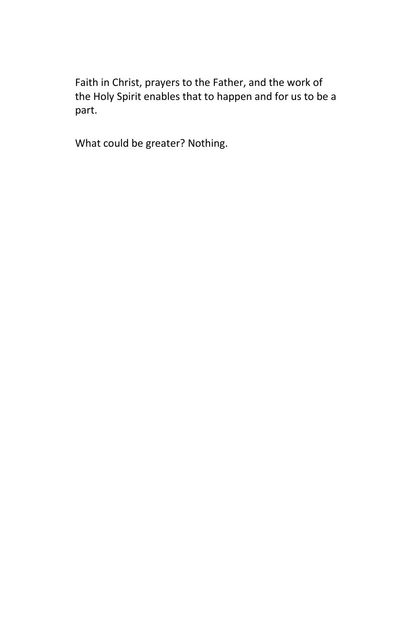Faith in Christ, prayers to the Father, and the work of the Holy Spirit enables that to happen and for us to be a part.

What could be greater? Nothing.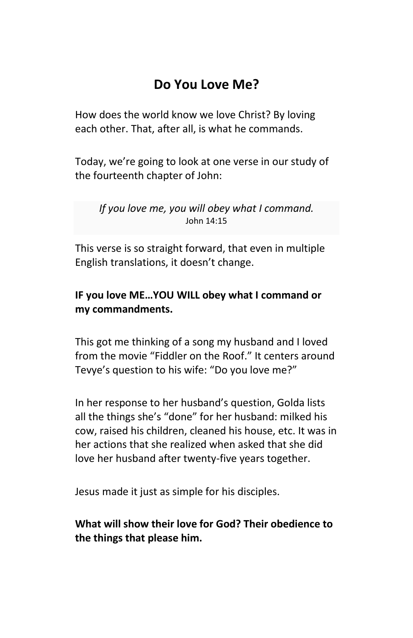# **Do You Love Me?**

How does the world know we love Christ? By loving each other. That, after all, is what he commands.

Today, we're going to look at one verse in our study of the fourteenth chapter of John:

*If you love me, you will obey what I command.* John 14:15

This verse is so straight forward, that even in multiple English translations, it doesn't change.

# **IF you love ME…YOU WILL obey what I command or my commandments.**

This got me thinking of a song my husband and I loved from the movie "Fiddler on the Roof." It centers around Tevye's question to his wife: "Do you love me?"

In her response to her husband's question, Golda lists all the things she's "done" for her husband: milked his cow, raised his children, cleaned his house, etc. It was in her actions that she realized when asked that she did love her husband after twenty-five years together.

Jesus made it just as simple for his disciples.

## **What will show their love for God? Their obedience to the things that please him.**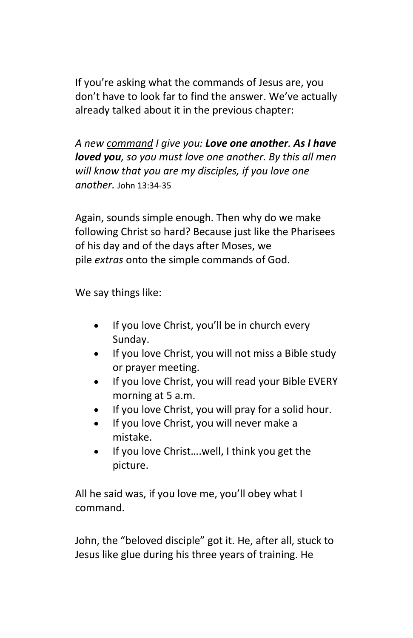If you're asking what the commands of Jesus are, you don't have to look far to find the answer. We've actually already talked about it in the previous chapter:

*A new command I give you: Love one another. As I have loved you, so you must love one another. By this all men will know that you are my disciples, if you love one another.* John 13:34-35

Again, sounds simple enough. Then why do we make following Christ so hard? Because just like the Pharisees of his day and of the days after Moses, we pile *extras* onto the simple commands of God.

We say things like:

- If you love Christ, you'll be in church every Sunday.
- If you love Christ, you will not miss a Bible study or prayer meeting.
- If you love Christ, you will read your Bible EVERY morning at 5 a.m.
- If you love Christ, you will pray for a solid hour.
- If you love Christ, you will never make a mistake.
- If you love Christ....well, I think you get the picture.

All he said was, if you love me, you'll obey what I command.

John, the "beloved disciple" got it. He, after all, stuck to Jesus like glue during his three years of training. He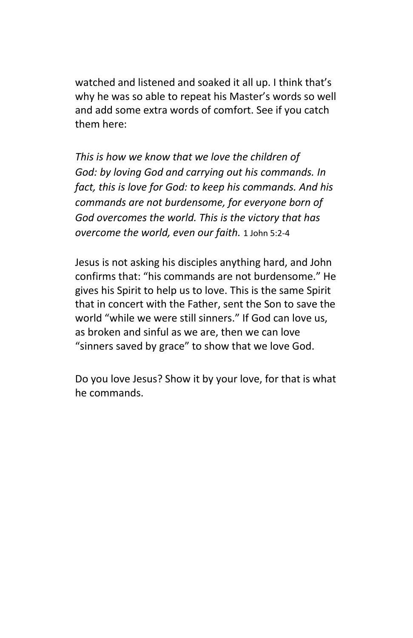watched and listened and soaked it all up. I think that's why he was so able to repeat his Master's words so well and add some extra words of comfort. See if you catch them here:

*This is how we know that we love the children of God: by loving God and carrying out his commands. In fact, this is love for God: to keep his commands. And his commands are not burdensome, for everyone born of God overcomes the world. This is the victory that has overcome the world, even our faith.* 1 John 5:2-4

Jesus is not asking his disciples anything hard, and John confirms that: "his commands are not burdensome." He gives his Spirit to help us to love. This is the same Spirit that in concert with the Father, sent the Son to save the world "while we were still sinners." If God can love us, as broken and sinful as we are, then we can love "sinners saved by grace" to show that we love God.

Do you love Jesus? Show it by your love, for that is what he commands.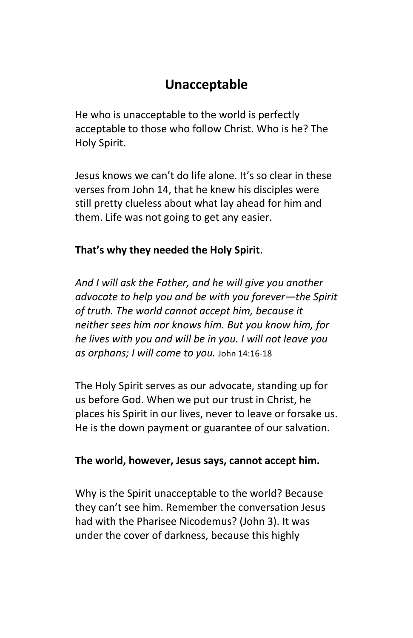# **Unacceptable**

He who is unacceptable to the world is perfectly acceptable to those who follow Christ. Who is he? The Holy Spirit.

Jesus knows we can't do life alone. It's so clear in these verses from John 14, that he knew his disciples were still pretty clueless about what lay ahead for him and them. Life was not going to get any easier.

#### **That's why they needed the Holy Spirit**.

*And I will ask the Father, and he will give you another advocate to help you and be with you forever—the Spirit of truth. The world cannot accept him, because it neither sees him nor knows him. But you know him, for he lives with you and will be in you. I will not leave you as orphans; I will come to you.* John 14:16-18

The Holy Spirit serves as our advocate, standing up for us before God. When we put our trust in Christ, he places his Spirit in our lives, never to leave or forsake us. He is the down payment or guarantee of our salvation.

#### **The world, however, Jesus says, cannot accept him.**

Why is the Spirit unacceptable to the world? Because they can't see him. Remember the conversation Jesus had with the Pharisee Nicodemus? (John 3). It was under the cover of darkness, because this highly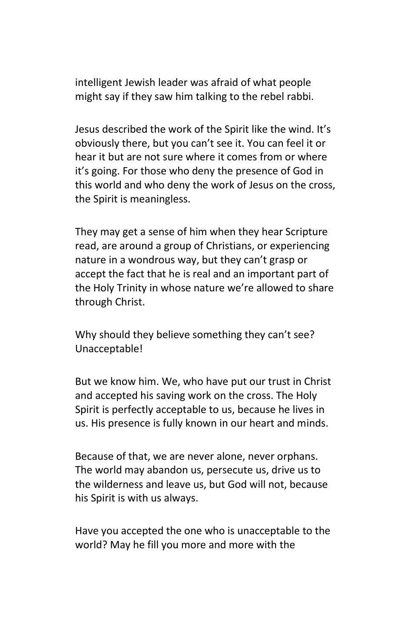intelligent Jewish leader was afraid of what people might say if they saw him talking to the rebel rabbi.

Jesus described the work of the Spirit like the wind. It's obviously there, but you can't see it. You can feel it or hear it but are not sure where it comes from or where it's going. For those who deny the presence of God in this world and who deny the work of Jesus on the cross, the Spirit is meaningless.

They may get a sense of him when they hear Scripture read, are around a group of Christians, or experiencing nature in a wondrous way, but they can't grasp or accept the fact that he is real and an important part of the Holy Trinity in whose nature we're allowed to share through Christ.

Why should they believe something they can't see? Unacceptable!

But we know him. We, who have put our trust in Christ and accepted his saving work on the cross. The Holy Spirit is perfectly acceptable to us, because he lives in us. His presence is fully known in our heart and minds.

Because of that, we are never alone, never orphans. The world may abandon us, persecute us, drive us to the wilderness and leave us, but God will not, because his Spirit is with us always.

Have you accepted the one who is unacceptable to the world? May he fill you more and more with the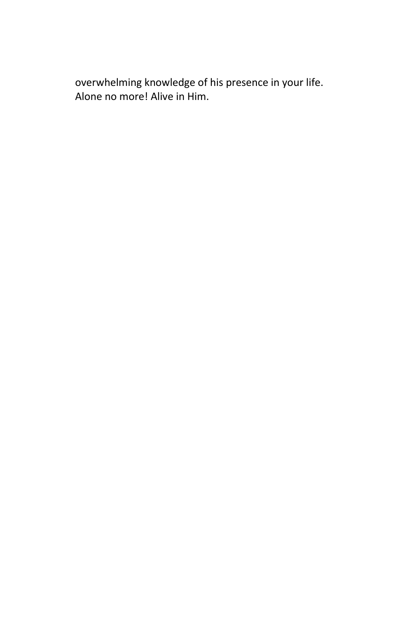overwhelming knowledge of his presence in your life. Alone no more! Alive in Him.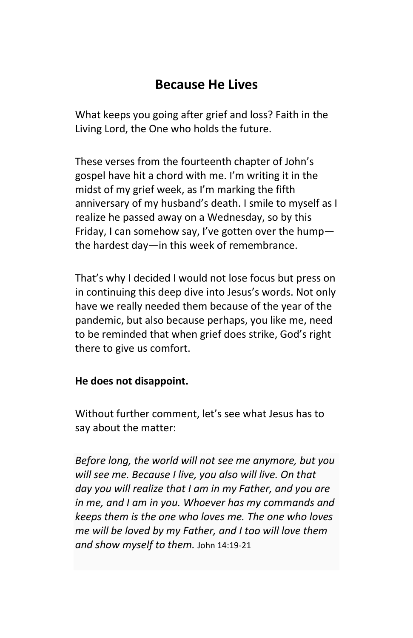# **Because He Lives**

What keeps you going after grief and loss? Faith in the Living Lord, the One who holds the future.

These verses from the fourteenth chapter of John's gospel have hit a chord with me. I'm writing it in the midst of my grief week, as I'm marking the fifth anniversary of my husband's death. I smile to myself as I realize he passed away on a Wednesday, so by this Friday, I can somehow say, I've gotten over the hump the hardest day—in this week of remembrance.

That's why I decided I would not lose focus but press on in continuing this deep dive into Jesus's words. Not only have we really needed them because of the year of the pandemic, but also because perhaps, you like me, need to be reminded that when grief does strike, God's right there to give us comfort.

#### **He does not disappoint.**

Without further comment, let's see what Jesus has to say about the matter:

*Before long, the world will not see me anymore, but you will see me. Because I live, you also will live. On that day you will realize that I am in my Father, and you are in me, and I am in you. Whoever has my commands and keeps them is the one who loves me. The one who loves me will be loved by my Father, and I too will love them and show myself to them.* John 14:19-21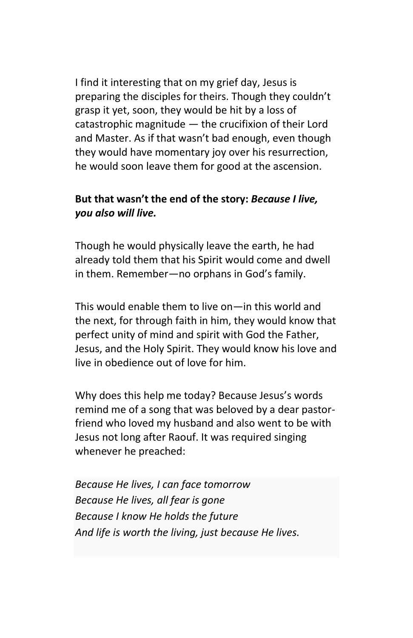I find it interesting that on my grief day, Jesus is preparing the disciples for theirs. Though they couldn't grasp it yet, soon, they would be hit by a loss of catastrophic magnitude — the crucifixion of their Lord and Master. As if that wasn't bad enough, even though they would have momentary joy over his resurrection, he would soon leave them for good at the ascension.

## **But that wasn't the end of the story:** *Because I live, you also will live.*

Though he would physically leave the earth, he had already told them that his Spirit would come and dwell in them. Remember—no orphans in God's family.

This would enable them to live on—in this world and the next, for through faith in him, they would know that perfect unity of mind and spirit with God the Father, Jesus, and the Holy Spirit. They would know his love and live in obedience out of love for him.

Why does this help me today? Because Jesus's words remind me of a song that was beloved by a dear pastorfriend who loved my husband and also went to be with Jesus not long after Raouf. It was required singing whenever he preached:

*Because He lives, I can face tomorrow Because He lives, all fear is gone Because I know He holds the future And life is worth the living, just because He lives.*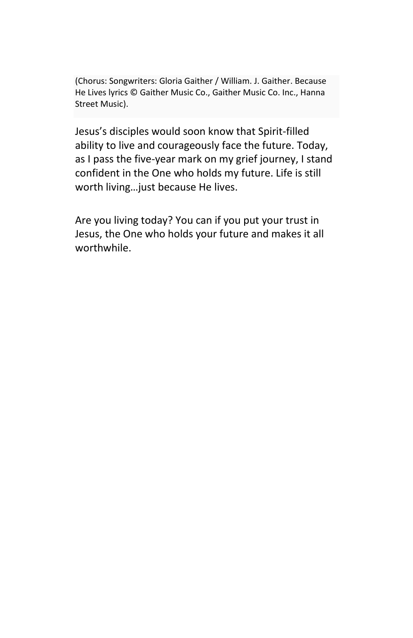(Chorus: Songwriters: Gloria Gaither / William. J. Gaither. Because He Lives lyrics © Gaither Music Co., Gaither Music Co. Inc., Hanna Street Music).

Jesus's disciples would soon know that Spirit-filled ability to live and courageously face the future. Today, as I pass the five-year mark on my grief journey, I stand confident in the One who holds my future. Life is still worth living…just because He lives.

Are you living today? You can if you put your trust in Jesus, the One who holds your future and makes it all worthwhile.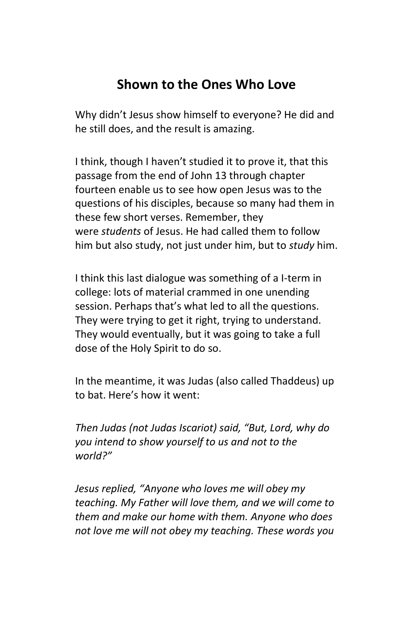# **Shown to the Ones Who Love**

Why didn't Jesus show himself to everyone? He did and he still does, and the result is amazing.

I think, though I haven't studied it to prove it, that this passage from the end of John 13 through chapter fourteen enable us to see how open Jesus was to the questions of his disciples, because so many had them in these few short verses. Remember, they were *students* of Jesus. He had called them to follow him but also study, not just under him, but to *study* him.

I think this last dialogue was something of a I-term in college: lots of material crammed in one unending session. Perhaps that's what led to all the questions. They were trying to get it right, trying to understand. They would eventually, but it was going to take a full dose of the Holy Spirit to do so.

In the meantime, it was Judas (also called Thaddeus) up to bat. Here's how it went:

*Then Judas (not Judas Iscariot) said, "But, Lord, why do you intend to show yourself to us and not to the world?"*

*Jesus replied, "Anyone who loves me will obey my teaching. My Father will love them, and we will come to them and make our home with them. Anyone who does not love me will not obey my teaching. These words you*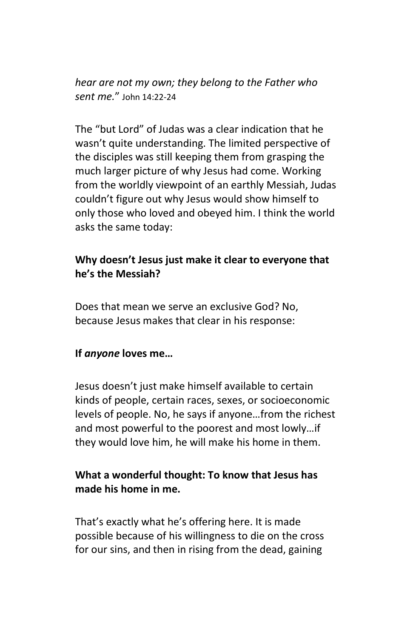*hear are not my own; they belong to the Father who sent me.*" John 14:22-24

The "but Lord" of Judas was a clear indication that he wasn't quite understanding. The limited perspective of the disciples was still keeping them from grasping the much larger picture of why Jesus had come. Working from the worldly viewpoint of an earthly Messiah, Judas couldn't figure out why Jesus would show himself to only those who loved and obeyed him. I think the world asks the same today:

## **Why doesn't Jesus just make it clear to everyone that he's the Messiah?**

Does that mean we serve an exclusive God? No, because Jesus makes that clear in his response:

#### **If** *anyone* **loves me…**

Jesus doesn't just make himself available to certain kinds of people, certain races, sexes, or socioeconomic levels of people. No, he says if anyone…from the richest and most powerful to the poorest and most lowly…if they would love him, he will make his home in them.

## **What a wonderful thought: To know that Jesus has made his home in me.**

That's exactly what he's offering here. It is made possible because of his willingness to die on the cross for our sins, and then in rising from the dead, gaining